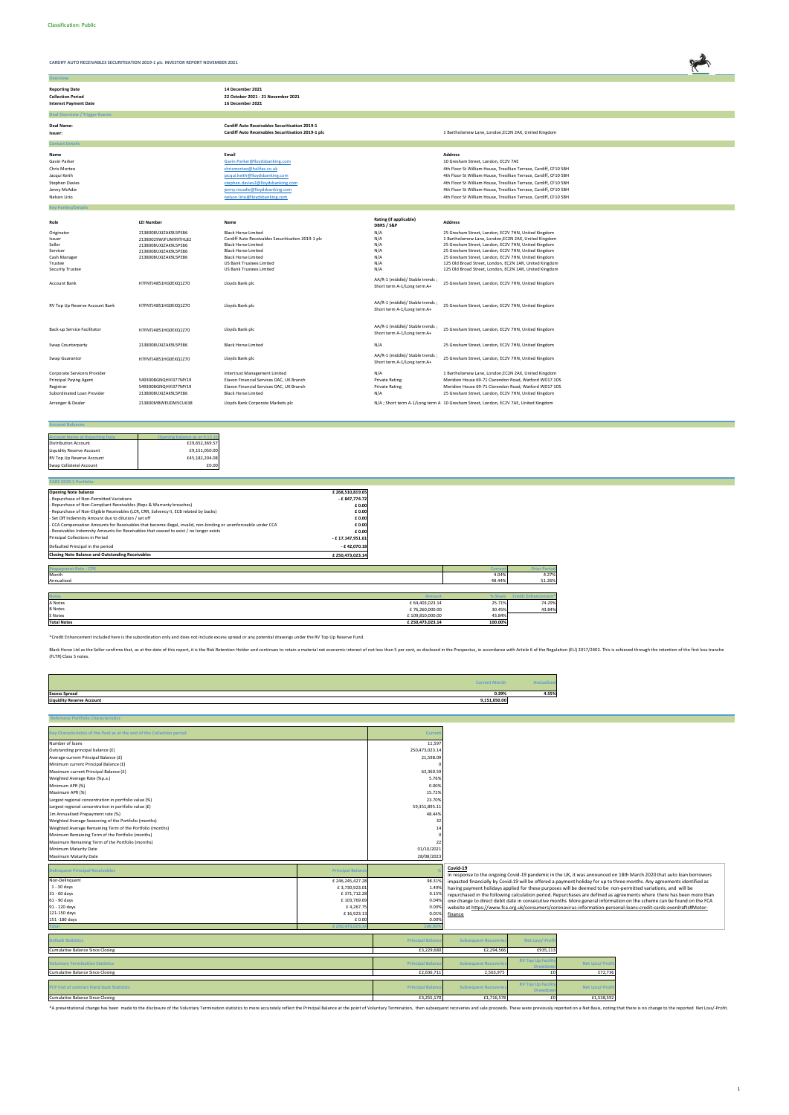

| <b>Overview</b>                                                                                               |                                                                                                                      |                                                                                                                                                                                                                                                  |                                                                |                                                                                                                                                                                                                                                                                                                                                                                                                |
|---------------------------------------------------------------------------------------------------------------|----------------------------------------------------------------------------------------------------------------------|--------------------------------------------------------------------------------------------------------------------------------------------------------------------------------------------------------------------------------------------------|----------------------------------------------------------------|----------------------------------------------------------------------------------------------------------------------------------------------------------------------------------------------------------------------------------------------------------------------------------------------------------------------------------------------------------------------------------------------------------------|
| <b>Reporting Date</b><br><b>Collection Period</b><br><b>Interest Payment Date</b>                             |                                                                                                                      | 14 December 2021<br>22 October 2021 - 21 November 2021<br>16 December 2021                                                                                                                                                                       |                                                                |                                                                                                                                                                                                                                                                                                                                                                                                                |
| <b>Deal Overview / Trigger Events</b>                                                                         |                                                                                                                      |                                                                                                                                                                                                                                                  |                                                                |                                                                                                                                                                                                                                                                                                                                                                                                                |
| Deal Name:<br>Issuer:                                                                                         |                                                                                                                      | <b>Cardiff Auto Receivables Securitisation 2019-1</b><br>Cardiff Auto Receivables Securitisation 2019-1 plc                                                                                                                                      |                                                                | 1 Bartholomew Lane, London, EC2N 2AX, United Kingdom                                                                                                                                                                                                                                                                                                                                                           |
| <b>Contact Details</b>                                                                                        |                                                                                                                      |                                                                                                                                                                                                                                                  |                                                                |                                                                                                                                                                                                                                                                                                                                                                                                                |
| Name<br>Gavin Parker<br>Chris Morteo<br>Jacqui Keith<br><b>Stephen Davies</b><br>Jenny McAdie<br>Nelson Lirio |                                                                                                                      | Email<br>Gavin.Parker@lloydsbanking.com<br>chrismorteo@halifax.co.uk<br>jacqui.keith@lloydsbanking.com<br>stephen.davies2@lloydsbanking.com<br>jenny.mcadie@lloydsbanking.com<br>nelson.lirio@lloydsbanking.com                                  |                                                                | <b>Address</b><br>10 Gresham Street, London, EC2V 7AE<br>4th Floor St William House, Tresillian Terrace, Cardiff, CF10 5BH<br>4th Floor St William House, Tresillian Terrace, Cardiff, CF10 5BH<br>4th Floor St William House, Tresillian Terrace, Cardiff, CF10 5BH<br>4th Floor St William House, Tresillian Terrace, Cardiff, CF10 5BH<br>4th Floor St William House, Tresillian Terrace, Cardiff, CF10 5BH |
| <b>Key Parties/Deta</b>                                                                                       |                                                                                                                      |                                                                                                                                                                                                                                                  |                                                                |                                                                                                                                                                                                                                                                                                                                                                                                                |
| Role                                                                                                          | <b>LEI Number</b>                                                                                                    | Name                                                                                                                                                                                                                                             | Rating (if applicable)<br>DBRS / S&P                           | <b>Address</b>                                                                                                                                                                                                                                                                                                                                                                                                 |
| Originator<br>Issuer<br>Seller<br>Servicer<br>Cash Manager<br>Trustee<br><b>Security Trustee</b>              | 2138008UXJZAK9L5PE86<br>21380029WJFUM99THL82<br>2138008UXJZAK9L5PE86<br>2138008UXJZAK9L5PE86<br>2138008UXJZAK9L5PE86 | <b>Black Horse Limited</b><br>Cardiff Auto Receivables Securitisation 2019-1 plc<br><b>Black Horse Limited</b><br><b>Black Horse Limited</b><br><b>Black Horse Limited</b><br><b>US Bank Trustees Limited</b><br><b>US Bank Trustees Limited</b> | N/A<br>N/A<br>N/A<br>N/A<br>N/A<br>N/A<br>N/A                  | 25 Gresham Street, London, EC2V 7HN, United Kingdom<br>1 Bartholomew Lane, London, EC2N 2AX, United Kingdom<br>25 Gresham Street, London, EC2V 7HN, United Kingdom<br>25 Gresham Street, London, EC2V 7HN, United Kingdom<br>25 Gresham Street, London, EC2V 7HN, United Kingdom<br>125 Old Broad Street, London, EC2N 1AR, United Kingdom<br>125 Old Broad Street, London, EC2N 1AR, United Kingdom           |
| <b>Account Bank</b>                                                                                           | H7FNTJ4851HG0EXQ1Z70                                                                                                 | Lloyds Bank plc                                                                                                                                                                                                                                  | AA/R-1 (middle)/ Stable trends;<br>Short term A-1/Long term A+ | 25 Gresham Street, London, EC2V 7HN, United Kingdom                                                                                                                                                                                                                                                                                                                                                            |
| RV Top Up Reserve Account Bank                                                                                | H7FNTJ4851HG0EXQ1Z70                                                                                                 | Lloyds Bank plc                                                                                                                                                                                                                                  | AA/R-1 (middle)/ Stable trends;<br>Short term A-1/Long term A+ | 25 Gresham Street, London, EC2V 7HN, United Kingdom                                                                                                                                                                                                                                                                                                                                                            |
| Back-up Service Facilitator                                                                                   | H7FNTJ4851HG0EXQ1Z70                                                                                                 | Lloyds Bank plc                                                                                                                                                                                                                                  | AA/R-1 (middle)/ Stable trends;<br>Short term A-1/Long term A+ | 25 Gresham Street, London, EC2V 7HN, United Kingdom                                                                                                                                                                                                                                                                                                                                                            |
| Swap Counterparty                                                                                             | 2138008UXJZAK9L5PE86                                                                                                 | <b>Black Horse Limited</b>                                                                                                                                                                                                                       | N/A                                                            | 25 Gresham Street, London, EC2V 7HN, United Kingdom                                                                                                                                                                                                                                                                                                                                                            |
| Swap Guarantor                                                                                                | H7FNTJ4851HG0EXQ1Z70                                                                                                 | Lloyds Bank plc                                                                                                                                                                                                                                  | AA/R-1 (middle)/ Stable trends<br>Short term A-1/Long term A+  | 25 Gresham Street, London, EC2V 7HN, United Kingdom                                                                                                                                                                                                                                                                                                                                                            |
| Corporate Servicers Provider<br><b>Principal Paying Agent</b><br>Registrar<br>Subordinated Loan Provider      | 5493008GNQHVI377MY19<br>5493008GNQHVI377MY19<br>2138008UXJZAK9L5PE86                                                 | Intertrust Management Limited<br>Elavon Financial Services DAC, UK Branch<br>Elavon Financial Services DAC, UK Branch<br><b>Black Horse Limited</b>                                                                                              | N/A<br><b>Private Rating</b><br><b>Private Rating</b><br>N/A   | 1 Bartholomew Lane, London, EC2N 2AX, United Kingdom<br>Meridien House 69-71 Clarendon Road, Watford WD17 1DS<br>Meridien House 69-71 Clarendon Road, Watford WD17 1DS<br>25 Gresham Street, London, EC2V 7HN, United Kingdom                                                                                                                                                                                  |
| Arranger & Dealer                                                                                             | 213800MBWEIJDM5CU638                                                                                                 | Lloyds Bank Corporate Markets plc                                                                                                                                                                                                                |                                                                | N/A; Short term A-1/Long term A 10 Gresham Street, London, EC2V 7AE, United Kingdom                                                                                                                                                                                                                                                                                                                            |

| <b>Account Balances</b> |
|-------------------------|
|                         |

| <b>Account Name at Reporting Date</b> | Opening balance as at 9.12.21 |
|---------------------------------------|-------------------------------|
| <b>Distribution Account</b>           | £29.652.369.57                |
| Liquidity Reserve Account             | £9.151.050.00                 |
| RV Top Up Reserve Account             | £45.182.204.08                |
| Swap Collateral Account               | £0.00                         |

| <b>CARS 2019-1 Portfolio</b>                                                                                    |                  |                 |         |                           |
|-----------------------------------------------------------------------------------------------------------------|------------------|-----------------|---------|---------------------------|
| <b>Opening Note balance</b>                                                                                     | £268,510,819.65  |                 |         |                           |
| - Repurchase of Non-Permitted Variations                                                                        | - £847,774.72    |                 |         |                           |
| - Repurchase of Non-Compliant Receivables (Reps & Warranty breaches)                                            | £0.00            |                 |         |                           |
| - Repurchase of Non-Eligible Receivables (LCR, CRR, Solvency II, ECB related by backs)                          | £0.00            |                 |         |                           |
| - Set Off Indemnity Amount due to dilution / set off                                                            | £0.00            |                 |         |                           |
| - CCA Compensation Amounts for Receivables that become illegal, invalid, non-binding or unenforceable under CCA | £0.00            |                 |         |                           |
| - Receivables Indemnity Amounts for Receivables that ceased to exist / no longer exists                         | £0.00            |                 |         |                           |
| Principal Collections in Period                                                                                 | - £17,147,951.61 |                 |         |                           |
| Defaulted Principal in the period                                                                               | $-£$ 42,070.18   |                 |         |                           |
| <b>Closing Note Balance and Outstanding Receivables</b>                                                         | £250,473,023.14  |                 |         |                           |
|                                                                                                                 |                  |                 |         |                           |
| <b>Prepayment Rate - CPR</b>                                                                                    |                  |                 | Curren  | <b>Prior Perio</b>        |
| Month                                                                                                           |                  |                 | 4.04%   | 4.27%                     |
| Annualised                                                                                                      |                  |                 | 48.44%  | 51.26%                    |
|                                                                                                                 |                  |                 |         |                           |
| <b>Notes</b>                                                                                                    |                  | <b>Amount</b>   | % Share | <b>Credit Enhancement</b> |
| A Notes                                                                                                         |                  | £ 64,403,023.14 | 25.71%  | 74.29%                    |
| <b>B</b> Notes                                                                                                  |                  | £76,260,000.00  | 30.45%  | 43.84%                    |
| S Notes                                                                                                         |                  | £109,810,000.00 | 43.84%  |                           |
| <b>Total Notes</b>                                                                                              |                  | £250,473,023.14 | 100.00% |                           |

|                                  | <b>Current Month</b> |       |
|----------------------------------|----------------------|-------|
| <b>Excess Spread</b>             | 0.39%                | 4.55% |
| <b>Liquidity Reserve Account</b> | 9,151,050.00         |       |

| <b>Reference Portfolio Characteristics</b>                             |                          |                         |                             |                          |                 |                                                                                                                                                                                                                                                 |
|------------------------------------------------------------------------|--------------------------|-------------------------|-----------------------------|--------------------------|-----------------|-------------------------------------------------------------------------------------------------------------------------------------------------------------------------------------------------------------------------------------------------|
| Key Characteristics of the Pool as at the end of the Collection period |                          | Currer                  |                             |                          |                 |                                                                                                                                                                                                                                                 |
|                                                                        |                          |                         |                             |                          |                 |                                                                                                                                                                                                                                                 |
| Number of loans                                                        |                          | 11,597                  |                             |                          |                 |                                                                                                                                                                                                                                                 |
| Outstanding principal balance (£)                                      |                          | 250,473,023.14          |                             |                          |                 |                                                                                                                                                                                                                                                 |
| Average current Principal Balance (£)                                  |                          | 21,598.09               |                             |                          |                 |                                                                                                                                                                                                                                                 |
| Minimum current Principal Balance (£)                                  |                          |                         |                             |                          |                 |                                                                                                                                                                                                                                                 |
| Maximum current Principal Balance (£)                                  |                          | 63,360.59               |                             |                          |                 |                                                                                                                                                                                                                                                 |
| Weighted Average Rate (%p.a.)                                          |                          | 5.76%                   |                             |                          |                 |                                                                                                                                                                                                                                                 |
| Minimum APR (%)                                                        |                          | 0.00%                   |                             |                          |                 |                                                                                                                                                                                                                                                 |
| Maximum APR (%)                                                        |                          | 15.72%                  |                             |                          |                 |                                                                                                                                                                                                                                                 |
| Largest regional concentration in portfolio value (%)                  |                          | 23.70%                  |                             |                          |                 |                                                                                                                                                                                                                                                 |
| Largest regional concentration in portfolio value (£)                  |                          | 59,351,895.11           |                             |                          |                 |                                                                                                                                                                                                                                                 |
| 1m Annualised Prepayment rate (%)                                      |                          | 48.44%                  |                             |                          |                 |                                                                                                                                                                                                                                                 |
| Weighted Average Seasoning of the Portfolio (months)                   |                          | 32                      |                             |                          |                 |                                                                                                                                                                                                                                                 |
| Weighted Average Remaining Term of the Portfolio (months)              |                          |                         |                             |                          |                 |                                                                                                                                                                                                                                                 |
| Minimum Remaining Term of the Portfolio (months)                       |                          |                         |                             |                          |                 |                                                                                                                                                                                                                                                 |
| Maximum Remaining Term of the Portfolio (months)                       |                          |                         |                             |                          |                 |                                                                                                                                                                                                                                                 |
| Minimum Maturity Date                                                  |                          | 01/10/2021              |                             |                          |                 |                                                                                                                                                                                                                                                 |
| Maximum Maturity Date                                                  |                          | 28/08/2023              |                             |                          |                 |                                                                                                                                                                                                                                                 |
|                                                                        |                          |                         |                             |                          |                 |                                                                                                                                                                                                                                                 |
| <b>Delinquent Principal Receivables</b>                                | <b>Principal Balance</b> |                         | Covid-19                    |                          |                 |                                                                                                                                                                                                                                                 |
| Non-Delinquent                                                         | £246,245,427.28          | 98.31%                  |                             |                          |                 | In response to the ongoing Covid-19 pandemic in the UK, it was announced on 18th March 2020 that auto loan borrowers<br>impacted financially by Covid-19 will be offered a payment holiday for up to three months. Any agreements identified as |
| 1 - 30 days                                                            | £3,730,923.01            | 1.49%                   |                             |                          |                 | having payment holidays applied for these purposes will be deemed to be non-permitted variations, and will be                                                                                                                                   |
| 31 - 60 days                                                           | £371,712.28              | 0.15%                   |                             |                          |                 | repurchased in the following calculation period. Repurchases are defined as agreements where there has been more than                                                                                                                           |
| 61 - 90 days                                                           | £103,769.69              | 0.04%                   |                             |                          |                 | one change to direct debit date in consecutive months More general information on the scheme can be found on the FCA                                                                                                                            |
| 91 - 120 days                                                          | £4,267.75                | 0.00%                   |                             |                          |                 | website at https://www.fca.org.uk/consumers/coronavirus-information-personal-loans-credit-cards-overdrafts#Motor-                                                                                                                               |
| 121-150 days                                                           | £16,923.13               | 0.01%                   | finance                     |                          |                 |                                                                                                                                                                                                                                                 |
| 151-180 days                                                           | £0.00                    | 0.00%                   |                             |                          |                 |                                                                                                                                                                                                                                                 |
|                                                                        | £250,473.                |                         |                             |                          |                 |                                                                                                                                                                                                                                                 |
|                                                                        |                          |                         |                             |                          |                 |                                                                                                                                                                                                                                                 |
| <b>Default Statistics</b>                                              |                          | <b>Principal Balan</b>  | <b>Subsequent Recoverie</b> | Net Loss/-Profi          |                 |                                                                                                                                                                                                                                                 |
| <b>Cumulative Balance Since Closing</b>                                |                          | £3,229,680              | £2,294,566                  | £935,113                 |                 |                                                                                                                                                                                                                                                 |
|                                                                        |                          |                         |                             | <b>RV Top Up Facili</b>  |                 |                                                                                                                                                                                                                                                 |
| <b>Voluntary Termination Statistics</b>                                |                          | <b>Principal Balan</b>  | <b>Subsequent Recoverie</b> | <b>Drawd</b>             | Net Loss/-Prof  |                                                                                                                                                                                                                                                 |
| <b>Cumulative Balance Since Closing</b>                                |                          | £2,636,711              | 2.563.975                   | £0                       | £72,736         |                                                                                                                                                                                                                                                 |
|                                                                        |                          |                         |                             | <b>RV Top Up Facilit</b> |                 |                                                                                                                                                                                                                                                 |
|                                                                        |                          |                         |                             |                          |                 |                                                                                                                                                                                                                                                 |
| PCP End of contract Hand back Statistics                               |                          | <b>Principal Balano</b> | <b>Subsequent Recoverie</b> | <b>Drawdow</b>           | Net Loss/-Profi |                                                                                                                                                                                                                                                 |

\*A presentational change has been made to the disclosure of the Voluntary Termination statistics to more accurately reflect the Principal Balance at the point of Voluntary Termination, then subsequent recoveries and sale p

\*Credit Enhancement included here is the subordination only and does not include excess spread or any potential drawings under the RV Top Up Reserve Fund.

Black Horse Ltd as the Seller confirms that, as at the date of this report, it is the Risk Retention Holder and continues to retain a material net economic interest of not less than 5 per cent, as disclosed in the Prospect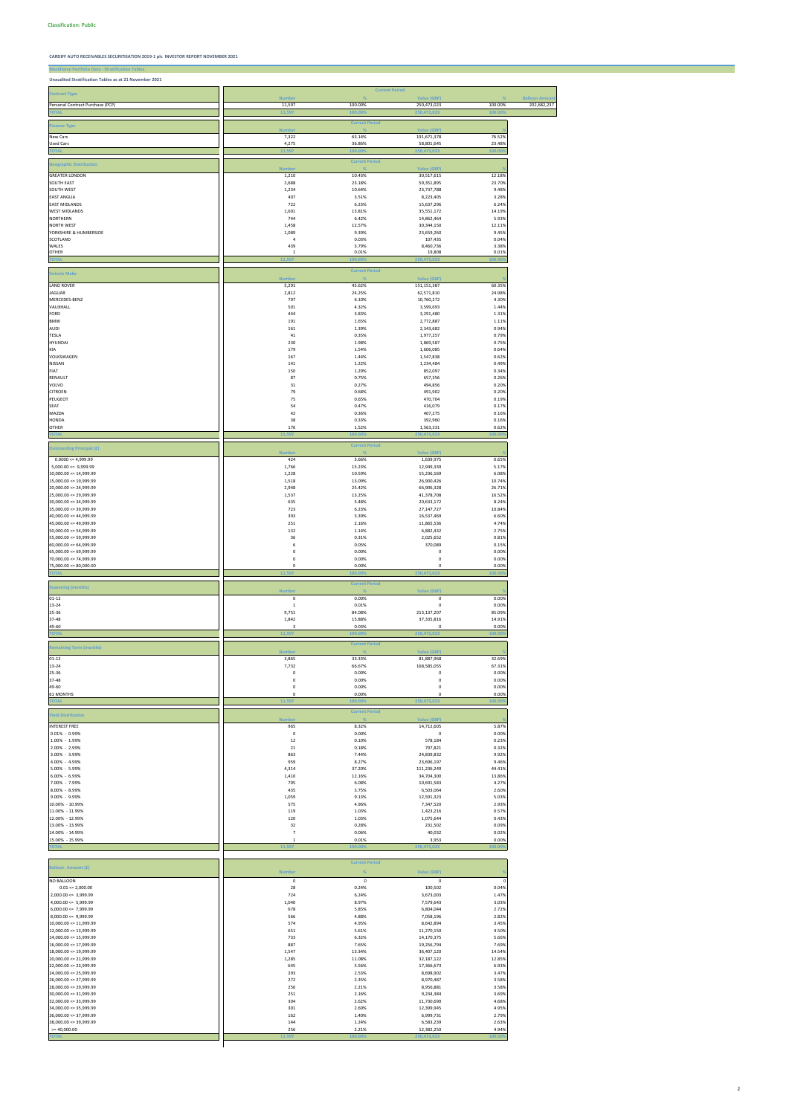**Blackhorse Portfolio Data - Stratification Tables**

# **Unaudited Stratification Tables as at 21 November 2021**

|                                                          |                         | <b>Current Period</b>      |                                   |                  |                                      |
|----------------------------------------------------------|-------------------------|----------------------------|-----------------------------------|------------------|--------------------------------------|
| <b>Contract Type</b><br>Personal Contract Purchase (PCP) | <b>Number</b><br>11,597 | $\frac{9}{6}$<br>100.00%   | Value (GBP)<br>250,473,023        | %<br>100.00%     | <b>Balloon Amount</b><br>202,682,237 |
|                                                          | 11,597                  | 100.00                     | 250,473,023                       | 100.00           |                                      |
| <b>Finance Type</b>                                      | <b>Number</b>           | <b>Current Period</b>      | <b>Value (GBP)</b>                |                  |                                      |
| New Cars                                                 | 7,322                   | 63.14%                     | 191,671,378                       | 76.52%           |                                      |
| <b>Used Cars</b><br><b>TOTAL</b>                         | 4,275<br>11,597         | 36.86%<br>100.00%          | 58,801,645<br>250,473,023         | 23.48%<br>100.00 |                                      |
|                                                          |                         | <b>Current Period</b>      |                                   |                  |                                      |
| <b>Geographic Distribution</b>                           | <b>Number</b>           |                            | <b>Value (GBP)</b>                |                  |                                      |
| <b>GREATER LONDON</b><br><b>SOUTH EAST</b>               | 1,210<br>2,688          | 10.43%<br>23.18%           | 30,517,615<br>59,351,895          | 12.18%<br>23.70% |                                      |
| SOUTH WEST<br><b>EAST ANGLIA</b>                         | 1,234<br>407            | 10.64%<br>3.51%            | 23,737,788<br>8,223,405           | 9.48%<br>3.28%   |                                      |
| <b>EAST MIDLANDS</b>                                     | 722                     | 6.23%                      | 15,637,296                        | 6.24%            |                                      |
| <b>WEST MIDLANDS</b><br>NORTHERN                         | 1,601<br>744            | 13.81%<br>6.42%            | 35,551,172<br>14,862,464          | 14.19%<br>5.93%  |                                      |
| <b>NORTH WEST</b>                                        | 1,458                   | 12.57%                     | 30,344,150                        | 12.11%           |                                      |
| YORKSHIRE & HUMBERSIDE<br>SCOTLAND                       | 1,089<br>$\sqrt{4}$     | 9.39%<br>0.03%             | 23,659,260<br>107,435             | 9.45%<br>0.04%   |                                      |
| WALES<br><b>OTHER</b>                                    | 439<br>1                | 3.79%<br>0.01%             | 8,460,736<br>19,808               | 3.38%<br>0.01%   |                                      |
| <b>TOTA</b>                                              | 11,597                  | 100.009                    | 250,473,023                       | 100.00           |                                      |
| <b>Vehicle Make</b>                                      |                         | <b>Current Period</b>      |                                   |                  |                                      |
| <b>LAND ROVER</b>                                        | <b>Number</b><br>5,291  | 45.62%                     | <b>Value (GBP)</b><br>151,151,387 | 60.35%           |                                      |
| <b>JAGUAR</b>                                            | 2,812                   | 24.25%                     | 62,571,810                        | 24.98%           |                                      |
| MERCEDES-BENZ<br>VAUXHALL                                | 707<br>501              | 6.10%<br>4.32%             | 10,760,272<br>3,599,693           | 4.30%<br>1.44%   |                                      |
| FORD                                                     | 444                     | 3.83%                      | 3,291,480                         | 1.31%            |                                      |
| <b>BMW</b><br><b>AUDI</b>                                | 191<br>161              | 1.65%<br>1.39%             | 2,772,887<br>2,343,682            | 1.11%<br>0.94%   |                                      |
| <b>TESLA</b>                                             | 41                      | 0.35%                      | 1,977,257                         | 0.79%            |                                      |
| HYUNDAI<br>KIA                                           | 230<br>179              | 1.98%<br>1.54%             | 1,869,587<br>1,606,085            | 0.75%<br>0.64%   |                                      |
| VOLKSWAGEN<br>NISSAN                                     | 167                     | 1.44%                      | 1,547,838                         | 0.62%<br>0.49%   |                                      |
| FIAT                                                     | 141<br>150              | 1.22%<br>1.29%             | 1,234,484<br>852,097              | 0.34%            |                                      |
| RENAULT<br>VOLVO                                         | 87<br>31                | 0.75%<br>0.27%             | 657,356<br>494,856                | 0.26%<br>0.20%   |                                      |
| <b>CITROEN</b>                                           | 79                      | 0.68%                      | 491,902                           | 0.20%            |                                      |
| PEUGEOT<br><b>SEAT</b>                                   | 75<br>54                | 0.65%<br>0.47%             | 470,704<br>416,079                | 0.19%<br>0.17%   |                                      |
| MAZDA                                                    | 42                      | 0.36%                      | 407,275                           | 0.16%            |                                      |
| HONDA<br><b>OTHER</b>                                    | 38<br>176               | 0.33%<br>1.52%             | 392,960<br>1,563,331              | 0.16%<br>0.62%   |                                      |
| <b>TOTAI</b>                                             | 11,597                  | 100.00                     | 250,473,023                       | 100.00           |                                      |
| <b>Outstanding Principal (£)</b>                         |                         | <b>Current Period</b>      |                                   |                  |                                      |
| $0.0000 \le 4,999.99$                                    | <b>Number</b><br>424    | 3.66%                      | <b>Value (GBP)</b><br>1,639,975   | 0.65%            |                                      |
| $5,000.00 \leq 9,999.99$                                 | 1,766<br>1,228          | 15.23%<br>10.59%           | 12,949,339<br>15,236,169          | 5.17%<br>6.08%   |                                      |
| $10,000.00 \le 14,999.99$<br>$15,000.00 \leq 19,999.99$  | 1,518                   | 13.09%                     | 26,900,426                        | 10.74%           |                                      |
| $20,000.00 \le 24,999.99$<br>$25,000.00 \le 29,999.99$   | 2,948<br>1,537          | 25.42%<br>13.25%           | 66,906,328<br>41,378,708          | 26.71%<br>16.52% |                                      |
| $30,000.00 \leq 34,999.99$                               | 635                     | 5.48%                      | 20,633,172                        | 8.24%            |                                      |
| $35,000.00 \leq 39,999.99$<br>$40,000.00 \le 44,999.99$  | 723<br>393              | 6.23%<br>3.39%             | 27,147,727<br>16,537,469          | 10.84%<br>6.60%  |                                      |
| 45,000.00 <= 49,999.99                                   | 251                     | 2.16%                      | 11,865,536                        | 4.74%            |                                      |
| $50,000.00 \le 54,999.99$<br>$55,000.00 \le 59,999.99$   | 132<br>36               | 1.14%<br>0.31%             | 6,882,432<br>2,025,652            | 2.75%<br>0.81%   |                                      |
| $60,000.00 \le 64,999.99$                                | 6                       | 0.05%                      | 370,089                           | 0.15%            |                                      |
| $65,000.00 \le 69,999.99$<br>70,000.00 <= 74,999.99      | 0<br>0                  | 0.00%<br>0.00%             | $\pmb{0}$<br>$\pmb{0}$            | 0.00%<br>0.00%   |                                      |
| $75,000.00 \le 80,000.00$                                | 0<br>11.597             | 0.00%<br>100.00            | $\pmb{0}$                         | 0.00%<br>100.00  |                                      |
|                                                          |                         | <b>Current Period</b>      | 250,473,023                       |                  |                                      |
| <b>Seasoning (months)</b>                                | <b>Number</b>           | $\frac{9}{6}$              | <b>Value (GBP)</b>                |                  |                                      |
| $01 - 12$<br>13-24                                       | 0<br>$\mathbf 1$        | 0.00%<br>0.01%             | $\pmb{0}$<br>0                    | 0.00%<br>0.00%   |                                      |
| 25-36                                                    | 9,751                   | 84.08%                     | 213,137,207                       | 85.09%           |                                      |
| 37-48<br>49-60                                           | 1,842<br>3              | 15.88%<br>0.03%            | 37,335,816<br>0                   | 14.91%<br>0.00%  |                                      |
| <b>TOTA</b>                                              | 11,597                  | 100.00                     | 250,473,023                       | 100.00           |                                      |
| <b>Remaining Term (months)</b>                           | <b>Number</b>           | <b>Current Period</b>      | Value (GBP)                       |                  |                                      |
| $01 - 12$                                                | 3,865                   | 33.33%                     | 81,887,968                        | 32.69%           |                                      |
|                                                          | 7,732                   | 66.67%                     | 168,585,055                       |                  |                                      |
| 13-24                                                    |                         |                            |                                   | 67.31%           |                                      |
| 25-36<br>37-48                                           | 0<br>0                  | 0.00%<br>0.00%             | 0<br>0                            | 0.00%<br>0.00%   |                                      |
| 49-60                                                    | 0                       | 0.00%                      | $\mathbf 0$                       | 0.00%            |                                      |
| 61 MONTHS<br><b>TOTAI</b>                                | 0<br>11,597             | 0.00%<br>100.009           | 0<br>250,473,023                  | 0.00%<br>100.00  |                                      |
| <b>Yield Distribution</b>                                |                         | <b>Current Period</b>      |                                   |                  |                                      |
| <b>INTEREST FREE</b>                                     | <b>Number</b><br>965    | 8.32%                      | Value (GBP)<br>14,712,605         | 5.87%            |                                      |
| $0.01\% - 0.99\%$                                        | $\mathsf 0$             | 0.00%                      | $\pmb{0}$                         | 0.00%            |                                      |
| 1.00% - 1.99%<br>2.00% - 2.99%                           | 12<br>21                | 0.10%<br>0.18%             | 578,184<br>797,821                | 0.23%<br>0.32%   |                                      |
| 3.00% - 3.99%                                            | 863                     | 7.44%                      | 24,839,832                        | 9.92%            |                                      |
| 4.00% - 4.99%<br>5.00% - 5.99%                           | 959<br>4,314            | 8.27%<br>37.20%            | 23,696,197<br>111,236,249         | 9.46%<br>44.41%  |                                      |
| 6.00% - 6.99%                                            | 1,410                   | 12.16%                     | 34,704,300                        | 13.86%           |                                      |
| 7.00% - 7.99%<br>8.00% - 8.99%                           | 705<br>435              | 6.08%<br>3.75%             | 10,691,583<br>6,503,064           | 4.27%<br>2.60%   |                                      |
| 9.00% - 9.99%<br>10.00% - 10.99%                         | 1,059<br>575            | 9.13%<br>4.96%             | 12,591,323<br>7,347,520           | 5.03%<br>2.93%   |                                      |
| 11.00% - 11.99%                                          | 119                     | 1.03%                      | 1,423,216                         | 0.57%            |                                      |
| 12.00% - 12.99%<br>13.00% - 13.99%                       | 120<br>32               | 1.03%<br>0.28%             | 1,075,644<br>231,502              | 0.43%<br>0.09%   |                                      |
| 14.00% - 14.99%                                          | $\overline{7}$          | 0.06%                      | 40,032                            | 0.02%            |                                      |
| 15.00% - 15.99%                                          | $\mathbf{1}$<br>11,597  | 0.01%<br>100.00            | 3,953<br>250,473,023              | 0.00%<br>100.00  |                                      |
|                                                          |                         |                            |                                   |                  |                                      |
| <b>Balloon Amount (£)</b>                                | <b>Number</b>           | <b>Current Period</b><br>% | Value (GBP)                       |                  |                                      |
| NO BALLOON                                               | $\mathbf 0$             | $\mathsf 0$                | $\pmb{0}$                         |                  |                                      |
| $0.01 \le 2,000.00$                                      | 28                      | 0.24%                      | 100,502                           | 0.04%            |                                      |
| $2,000.00 \leq 3,999.99$<br>$4,000.00 \leq 5,999.99$     | 724<br>1,040            | 6.24%<br>8.97%             | 3,673,003<br>7,579,643            | 1.47%<br>3.03%   |                                      |
| $6,000.00 \le 7,999.99$<br>$8,000.00 \le 9,999.99$       | 678<br>566              | 5.85%<br>4.88%             | 6,804,044<br>7,058,196            | 2.72%<br>2.82%   |                                      |
| $10,000.00 \leq 11,999.99$                               | 574                     | 4.95%                      | 8,642,894                         | 3.45%            |                                      |
| $12,000.00 \le 13,999.99$<br>$14,000.00 \le 15,999.99$   | 651<br>733              | 5.61%<br>6.32%             | 11,270,150<br>14,170,375          | 4.50%<br>5.66%   |                                      |
| $16,000.00 \le 17,999.99$                                | 887                     | 7.65%                      | 19,256,794                        | 7.69%            |                                      |
| $18,000.00 \leq 19,999.99$<br>$20,000.00 \le 21,999.99$  | 1,547<br>1,285          | 13.34%<br>11.08%           | 36,407,120<br>32,187,122          | 14.54%<br>12.85% |                                      |
| $22,000.00 \le 23,999.99$                                | 645                     | 5.56%                      | 17,366,673                        | 6.93%            |                                      |
| $24,000.00 \le 25,999.99$<br>$26,000.00 \le 27,999.99$   | 293<br>272              | 2.53%<br>2.35%             | 8,698,902<br>8,970,487            | 3.47%<br>3.58%   |                                      |
| $28,000.00 \le 29,999.99$                                | 256                     | 2.21%                      | 8,956,881                         | 3.58%            |                                      |
| $30,000.00 \le 31,999.99$<br>$32,000.00 \le 33,999.99$   | 251<br>304              | 2.16%<br>2.62%             | 9,234,384<br>11,730,690           | 3.69%<br>4.68%   |                                      |
| $34,000.00 \le 35,999.99$                                | 301                     | 2.60%                      | 12,399,945                        | 4.95%            |                                      |
| $36,000.00 \le 37,999.99$<br>$38,000.00 \leq 39,999.99$  | 162<br>144              | 1.40%<br>1.24%             | 6,999,731<br>6,583,239            | 2.79%<br>2.63%   |                                      |
| $>= 40,000.00$                                           | 256<br>11,597           | 2.21%<br>100.00            | 12,382,250<br>250,473,023         | 4.94%<br>100.00  |                                      |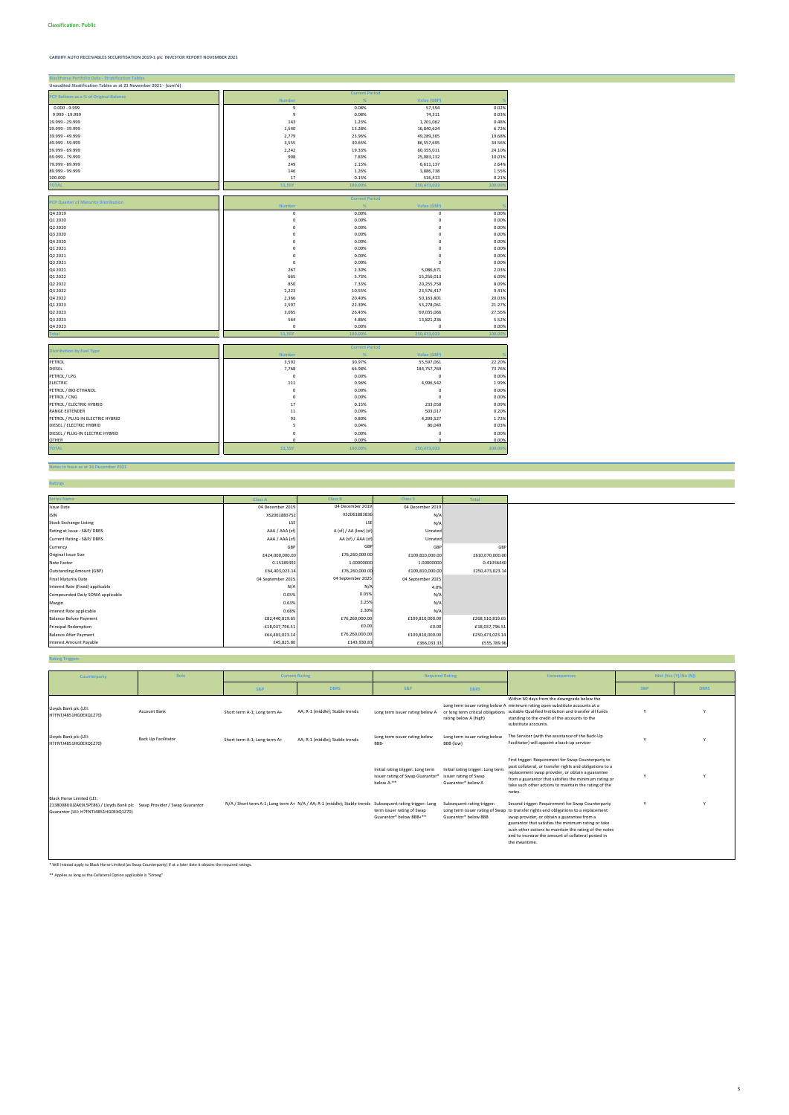### **Notes in Issue as at 16 December 2021**

**Ratings**

| <b>Blackhorse Portfolio Data - Stratification Table</b>           |                |                       |                    |         |
|-------------------------------------------------------------------|----------------|-----------------------|--------------------|---------|
| Unaudited Stratification Tables as at 21 November 2021 - (cont'd) |                |                       |                    |         |
| PCP Balloon as a % of Original Balance                            |                | <b>Current Period</b> |                    |         |
|                                                                   | <b>Number</b>  |                       | <b>Value (GBP)</b> |         |
| $0.000 - 9.999$                                                   | $\overline{9}$ | 0.08%                 | 57,594             | 0.02%   |
| 9.999 - 19.999                                                    | 9              | 0.08%                 | 74,311             | 0.03%   |
| 19.999 - 29.999                                                   | 143            | 1.23%                 | 1,201,062          | 0.48%   |
| 29.999 - 39.999                                                   | 1,540          | 13.28%                | 16,840,624         | 6.72%   |
| 39.999 - 49.999                                                   | 2,779          | 23.96%                | 49,289,305         | 19.68%  |
| 49.999 - 59.999                                                   | 3,555          | 30.65%                | 86,557,695         | 34.56%  |
| 59.999 - 69.999                                                   | 2,242          | 19.33%                | 60,355,011         | 24.10%  |
| 69.999 - 79.999                                                   | 908            | 7.83%                 | 25,083,132         | 10.01%  |
| 79.999 - 89.999                                                   | 249            | 2.15%                 | 6,611,137          | 2.64%   |
| 89.999 - 99.999                                                   | 146            | 1.26%                 | 3,886,738          | 1.55%   |
| 100.000                                                           | 17             | 0.15%                 | 516,413            | 0.21%   |
| <b>TOTAL</b>                                                      | 11,597         | 100.00%               | 250,473,023        | 100.009 |
|                                                                   |                |                       |                    |         |
| <b>PCP Quarter of Maturity Distribution</b>                       |                | <b>Current Period</b> |                    |         |
|                                                                   | <b>Number</b>  |                       | <b>Value (GBP)</b> |         |
| Q4 2019                                                           | $\pmb{0}$      | 0.00%                 | $\mathsf 0$        | 0.00%   |
| Q1 2020                                                           | $\pmb{0}$      | 0.00%                 | 0                  | 0.00%   |
| Q2 2020                                                           | $\mathbf 0$    | 0.00%                 | $\Omega$           | 0.00%   |
| Q3 2020                                                           | $\pmb{0}$      | 0.00%                 | 0                  | 0.00%   |
| Q4 2020                                                           | $\pmb{0}$      | 0.00%                 | $\mathbf 0$        | 0.00%   |
| Q1 2021                                                           | $\pmb{0}$      | 0.00%                 | $\mathbf 0$        | 0.00%   |
| Q2 2021                                                           | $\mathbf 0$    | 0.00%                 | $\mathbf 0$        | 0.00%   |
| Q3 2021                                                           | $\mathsf 0$    | 0.00%                 | $\mathbf 0$        | 0.00%   |
| Q4 2021                                                           | 267            | 2.30%                 | 5,086,671          | 2.03%   |
| Q1 2022                                                           | 665            | 5.73%                 | 15,256,013         | 6.09%   |
| Q2 2022                                                           | 850            | 7.33%                 | 20,255,758         | 8.09%   |
| Q3 2022                                                           | 1,223          | 10.55%                | 23,576,417         | 9.41%   |
| Q4 2022                                                           | 2,366          | 20.40%                | 50,163,801         | 20.03%  |
| Q1 2023                                                           | 2,597          | 22.39%                | 53,278,061         | 21.27%  |
| Q2 2023                                                           | 3,065          | 26.43%                | 69,035,066         | 27.56%  |
| Q3 2023                                                           | 564            | 4.86%                 | 13,821,236         | 5.52%   |
| Q4 2023                                                           | $\pmb{0}$      | 0.00%                 | $\mathbf 0$        | 0.00%   |
| <b>Total</b>                                                      | 11,597         | 100.00                | 250,473,023        | 100.00  |
|                                                                   |                |                       |                    |         |
| <b>Distribution by Fuel Type</b>                                  |                | <b>Current Period</b> |                    |         |
|                                                                   | <b>Number</b>  | %                     | Value (GBP)        |         |
| PETROL                                                            | 3,592          | 30.97%                | 55,597,061         | 22.20%  |
| <b>DIESEL</b>                                                     | 7,768          | 66.98%                | 184,757,769        | 73.76%  |
| PETROL / LPG                                                      | $\mathsf 0$    | 0.00%                 | $\mathbf 0$        | 0.00%   |
| <b>ELECTRIC</b>                                                   | 111            | 0.96%                 | 4,996,542          | 1.99%   |
| PETROL / BIO-ETHANOL                                              | 0              | 0.00%                 | $\mathbf 0$        | 0.00%   |
| PETROL / CNG                                                      | $\pmb{0}$      | 0.00%                 | $\mathbf 0$        | 0.00%   |
| PETROL / ELECTRIC HYBRID                                          | 17             | 0.15%                 | 233,058            | 0.09%   |
| <b>RANGE EXTENDER</b>                                             | $11\,$         | 0.09%                 | 503,017            | 0.20%   |
| PETROL / PLUG-IN ELECTRIC HYBRID                                  | 93             | 0.80%                 | 4,299,527          | 1.72%   |
| DIESEL / ELECTRIC HYBRID                                          | 5              | 0.04%                 | 86,049             | 0.03%   |
| DIESEL / PLUG-IN ELECTRIC HYBRID                                  | $\pmb{0}$      | 0.00%                 | $\pmb{0}$          | 0.00%   |
| <b>OTHER</b>                                                      | $\mathbf 0$    | 0.00%                 | $\Omega$           | 0.00%   |
| <b>TOTAL</b>                                                      | 11,597         | 100.00%               | 250,473,023        | 100.00% |
|                                                                   |                |                       |                    |         |

### **Series Name Class A Class S Total** Issue Date 04 December 2019 **04 December 2019** 04 December 2019 **04 December 2019** 04 December 2019 04 December 2019 المال المسابق الالتاريكي المسابق المسابق المسابق المسابق المسابق المسابق المسابق المسابق المسابق المسابق المسابق ال Stock Exchange Listing<br>Stock Exchange Listing List<br>Rating at Issue - S&P/ DBRS Unrated Rating at Issue - S&P/ DBRS Unrated Unrated SAA (Sf) (AAA (Sf) (AAA (Sf) (AAA (Sf) (AAA (Sf) (AAA (Sf) (AAA (Sf) (AAA (Sf) (AAA (Sf) (AAA (Sf) (AAA (Sf) (AAA (Sf) (AAA (Sf) (AAA (Sf) (AAA (Sf) (AAA (Sf) (AAA (Sf) (AAA (Sf Current Rating - S&P/ DBRS AAA / AAA (sf) Unrated Currency GBP GBP GBP Original Issue Size £424,000,000.00 £109,810,000.00 £610,070,000.00 Note Factor 0.15189392 1.00000000 0.41056440 Outstanding Amount (GBP) £64,403,023.14 £109,810,000.00 £250,473,023.14 Final Maturity Date 04 September 2025 04 September 2025 04 September 2025 nterest Rate (Fixed) applicable **N/A** 4.0% and the set of the N/A 4.0% and the N/A 4.0% and the N/A 4.0% and the N/A Compounded Daily SONIA applicable **New York Structure of Compounded Daily SONIA applicable 0.05%** N/A Compounded Daily SONIA applicable N/A Compounded Daily SONIA applicable N/A Compounded Daily SONIA applicable N/A Compou Margin 1990 کا دی این سال 1986.85% میں استعمال کا ایک مقابض کردیا تھا کہ ایک مقابض کردیا تھا کہ اس کا مقابض کر Interest Rate applicable applicable to the context of the context Rate applicable to the context Rate applicable M/A<br>Balance Before Payment fits, and the context of the context of the context of the context of the context Balance Before Payment **2006 2012 12:00 2012 12:00** E82,440,819.65 £109,810,000.00 £268,510,819.65 £109,810,000.00 £268,510,819.65 £109,810,000.00 £268,510,819.65 £109,810,000.00 £109,810,000.00 £109,810,000.00 £18,037,796 Principal Redemption -£18,037,796.51 £0.00 -£18,037,796.51 Balance After Payment £64,403,023.14 £109,810,000.00 £250,473,023.14 Interest Amount Payable **EXES,789.96** £555,789.96 £45,825.80 £35,825.80 £366,033.33 £555,789.96 £76,260,000.00 £143,930.83 XS2061883836 LSE A (sf) / AA (low) (sf) AA (sf) / AAA (sf) GBP £76,260,000.00 **Class B**  04 December 2019 2.30% £76,260,000.00 £0.00 1.00000000 £76,260,000.00 N/A 0.05% 2.25%

### **Rating Triggers**

\* Will instead apply to Black Horse Limited (as Swap Counterparty) if at a later date it obtains the required ratings.

\*\* Applies as long as the Collateral Option applicable is "Strong"

the meantime.

| Counterparty                                                                                                                                        | Role                       | <b>Current Rating</b>        |                                                                                                          |                                                                                     | <b>Required Rating</b>                                                                | <b>Consequences</b>                                                                                                                                                                                                                                                                                                                                                  |     | Met (Yes (Y)/No (N)) |
|-----------------------------------------------------------------------------------------------------------------------------------------------------|----------------------------|------------------------------|----------------------------------------------------------------------------------------------------------|-------------------------------------------------------------------------------------|---------------------------------------------------------------------------------------|----------------------------------------------------------------------------------------------------------------------------------------------------------------------------------------------------------------------------------------------------------------------------------------------------------------------------------------------------------------------|-----|----------------------|
|                                                                                                                                                     |                            | <b>S&amp;P</b>               | <b>DBRS</b>                                                                                              | <b>S&amp;P</b>                                                                      | <b>DBRS</b>                                                                           |                                                                                                                                                                                                                                                                                                                                                                      | S&P | <b>DBRS</b>          |
| Lloyds Bank plc (LEI:<br>H7FNTJ4851HG0EXQ1Z70)                                                                                                      | Account Bank               | Short term A-1; Long term A+ | AA; R-1 (middle); Stable trends                                                                          | Long term issuer rating below A                                                     | or long term critical obligations<br>rating below A (high)                            | Within 60 days from the downgrade below the<br>Long term issuer rating below A minimum rating open substitute accounts at a<br>suitable Qualified Institution and transfer all funds<br>standing to the credit of the accounts to the<br>substitute accounts.                                                                                                        |     |                      |
| Lloyds Bank plc (LEI:<br>H7FNTJ4851HG0EXQ1Z70)                                                                                                      | <b>Back Up Facilitator</b> | Short term A-1; Long term A+ | AA; R-1 (middle); Stable trends                                                                          | Long term issuer rating below<br>BBB-                                               | Long term issuer rating below<br>BBB (low)                                            | The Servicer (with the assistance of the Back-Up<br>Facilitator) will appoint a back-up servicer                                                                                                                                                                                                                                                                     |     |                      |
|                                                                                                                                                     |                            |                              |                                                                                                          | Initial rating trigger: Long term<br>issuer rating of Swap Guarantor*<br>below A-** | Initial rating trigger: Long term<br>issuer rating of Swap<br>Guarantor* below A      | First trigger: Requirement for Swap Counterparty to<br>post collateral, or transfer rights and obligations to a<br>replacement swap provider, or obtain a guarantee<br>from a guarantor that satisfies the minimum rating or<br>take such other actions to maintain the rating of the<br>notes.                                                                      |     |                      |
| <b>Black Horse Limited (LEI:</b><br>2138008UXJZAK9L5PE86) / Lloyds Bank plc Swap Provider / Swap Guarantor<br>Guarantor (LEI: H7FNTJ4851HG0EXQ1Z70) |                            |                              | N/A / Short term A-1; Long term A+ N/A / AA; R-1 (middle); Stable trends Subsequent rating trigger: Long | term issuer rating of Swap<br>Guarantor* below BBB+**                               | Subsequent rating trigger:<br>Long term issuer rating of Swap<br>Guarantor* below BBB | Second trigger: Requirement for Swap Counterparty<br>to transfer rights and obligations to a replacement<br>swap provider, or obtain a guarantee from a<br>guarantor that satisfies the minimum rating or take<br>such other actions to maintain the rating of the notes<br>and to increase the amount of collateral posted in<br>which considered a contract of the |     |                      |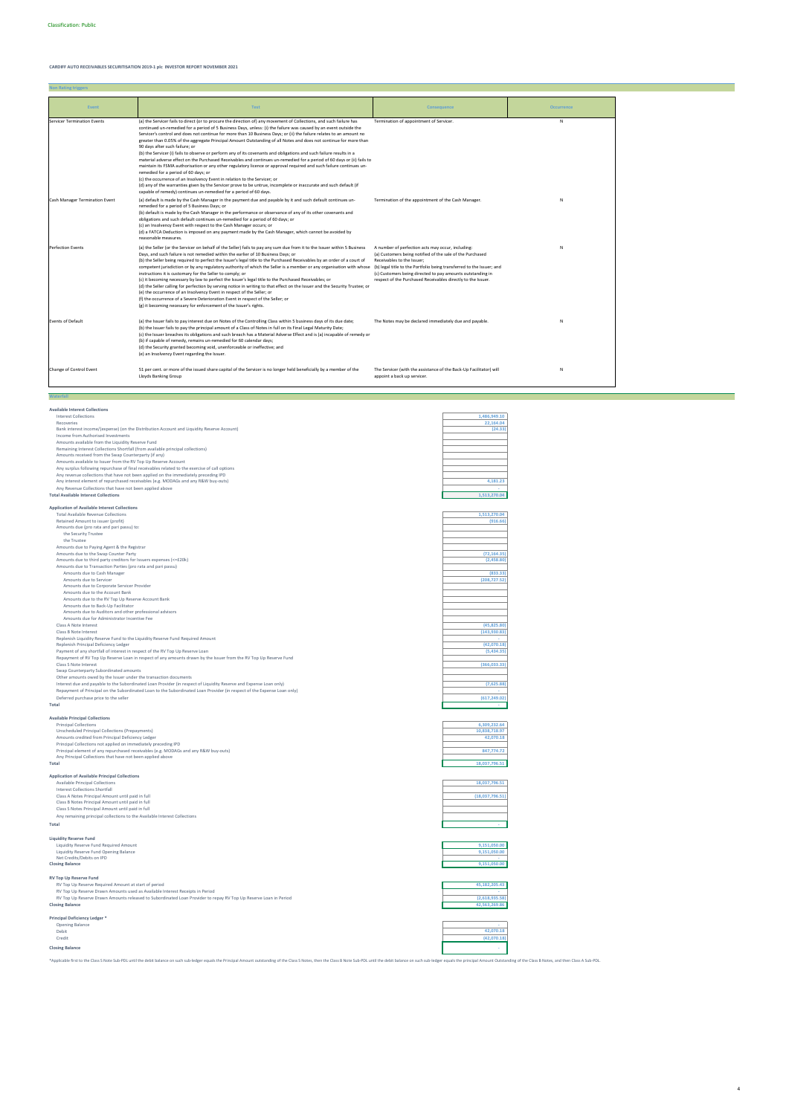| <b>Available Interest Collections</b>                                                                                                                                                                                                         |                 |
|-----------------------------------------------------------------------------------------------------------------------------------------------------------------------------------------------------------------------------------------------|-----------------|
| <b>Interest Collections</b>                                                                                                                                                                                                                   | 1,486,949.10    |
| Recoveries                                                                                                                                                                                                                                    | 22,164.04       |
| Bank interest income/(expense) (on the Distribution Account and Liquidity Reserve Account)                                                                                                                                                    | (24.33)         |
| Income from Authorised Investments                                                                                                                                                                                                            |                 |
| Amounts available from the Liquidity Reserve Fund                                                                                                                                                                                             |                 |
| Remaining Interest Collections Shortfall (from available principal collections)                                                                                                                                                               |                 |
| Amounts received from the Swap Counterparty (if any)                                                                                                                                                                                          |                 |
| Amounts available to Issuer from the RV Top Up Reserve Account                                                                                                                                                                                |                 |
| Any surplus following repurchase of final receivables related to the exercise of call options                                                                                                                                                 |                 |
| Any revenue collections that have not been applied on the immediately preceding IPD                                                                                                                                                           |                 |
| Any interest element of repurchased receivables (e.g. MODAGs and any R&W buy-outs)                                                                                                                                                            | 4,181.23        |
| Any Revenue Collections that have not been applied above<br><b>Total Available Interest Collections</b>                                                                                                                                       | 1,513,270.04    |
|                                                                                                                                                                                                                                               |                 |
| <b>Application of Available Interest Collections</b>                                                                                                                                                                                          |                 |
| <b>Total Available Revenue Collections</b>                                                                                                                                                                                                    | 1,513,270.04    |
| Retained Amount to issuer (profit)                                                                                                                                                                                                            | (916.66)        |
| Amounts due (pro rata and pari passu) to:                                                                                                                                                                                                     |                 |
| the Security Trustee                                                                                                                                                                                                                          |                 |
| the Trustee                                                                                                                                                                                                                                   |                 |
| Amounts due to Paying Agent & the Registrar                                                                                                                                                                                                   |                 |
| Amounts due to the Swap Counter Party                                                                                                                                                                                                         | (72, 164.35)    |
| Amounts due to third party creditors for Issuers expenses (<=£20k)                                                                                                                                                                            | (2,458.80)      |
| Amounts due to Transaction Parties (pro rata and pari passu)<br>Amounts due to Cash Manager                                                                                                                                                   | (833.33)        |
| Amounts due to Servicer                                                                                                                                                                                                                       | (208, 727.52)   |
| Amounts due to Corporate Servicer Provider                                                                                                                                                                                                    |                 |
| Amounts due to the Account Bank                                                                                                                                                                                                               |                 |
| Amounts due to the RV Top Up Reserve Account Bank                                                                                                                                                                                             |                 |
| Amounts due to Back-Up Facilitator                                                                                                                                                                                                            |                 |
| Amounts due to Auditors and other professional advisors                                                                                                                                                                                       |                 |
| Amounts due for Administrator Incentive Fee                                                                                                                                                                                                   |                 |
| Class A Note Interest                                                                                                                                                                                                                         | (45, 825.80)    |
| Class B Note Interest                                                                                                                                                                                                                         | (143,930.83)    |
| Replenish Liquidity Reserve Fund to the Liquidity Reserve Fund Required Amount                                                                                                                                                                |                 |
| Replenish Principal Deficiency Ledger                                                                                                                                                                                                         | (42,070.18)     |
| Payment of any shortfall of interest in respect of the RV Top Up Reserve Loan                                                                                                                                                                 | (5,434.35)      |
| Repayment of RV Top Up Reserve Loan in respect of any amounts drawn by the Issuer from the RV Top Up Reserve Fund                                                                                                                             |                 |
| Class S Note Interest                                                                                                                                                                                                                         | (366, 033.33)   |
| Swap Counterparty Subordinated amounts                                                                                                                                                                                                        |                 |
| Other amounts owed by the Issuer under the transaction documents                                                                                                                                                                              |                 |
| Interest due and payable to the Subordinated Loan Provider (in respect of Liquidity Reserve and Expense Loan only)<br>Repayment of Principal on the Subordinated Loan to the Subordinated Loan Provider (in respect of the Expense Loan only) | (7,625.88)      |
|                                                                                                                                                                                                                                               |                 |
| Deferred purchase price to the seller                                                                                                                                                                                                         | (617, 249.02)   |
| Total                                                                                                                                                                                                                                         |                 |
| <b>Available Principal Collections</b>                                                                                                                                                                                                        |                 |
| <b>Principal Collections</b>                                                                                                                                                                                                                  | 6,309,232.64    |
| Unscheduled Principal Collections (Prepayments)                                                                                                                                                                                               | 10,838,718.97   |
| Amounts credited from Principal Deficiency Ledger                                                                                                                                                                                             | 42,070.18       |
| Principal Collections not applied on immediately preceding IPD                                                                                                                                                                                |                 |
| Principal element of any repurchased receivables (e.g. MODAGs and any R&W buy-outs)                                                                                                                                                           | 847,774.72      |
| Any Principal Collections that have not been applied above                                                                                                                                                                                    |                 |
| Total                                                                                                                                                                                                                                         | 18,037,796.51   |
| <b>Application of Available Principal Collections</b>                                                                                                                                                                                         |                 |
| <b>Available Principal Collections</b>                                                                                                                                                                                                        | 18,037,796.51   |
| Interest Collections Shortfall                                                                                                                                                                                                                |                 |
| Class A Notes Principal Amount until paid in full                                                                                                                                                                                             | (18,037,796.51) |
| Class B Notes Principal Amount until paid in full                                                                                                                                                                                             |                 |
| Class S Notes Principal Amount until paid in full                                                                                                                                                                                             |                 |

Any remaining principal collections to the Available Interest Collections

RV Top Up Reserve Fund<br>
RV Top Up Reserve Required Amount at start of period<br>
RV Top Up Reserve Drawn Amounts used as Available Interest Receipts in Period<br>
CV Top Up Reserve Drawn Amounts released to Subordinated Loan Pro

**Total -**

| Liquidity Reserve Fund Required Amount | 9.151.050.00 |
|----------------------------------------|--------------|
| Liquidity Reserve Fund Opening Balance | 9.151.050.00 |
| Net Credits/Debits on IPD              |              |
|                                        | ---------    |

| Liquidity Reserve Fund Required Amount | 9.151.050.00 |
|----------------------------------------|--------------|
| Liquidity Reserve Fund Opening Balance | 9.151.050.00 |
| Net Credits/Debits on IPD              |              |
| <b>Closing Balance</b>                 | 9,151,050.00 |

## **Principal Deficiency Ledger \***

| Opening Balance        |             |
|------------------------|-------------|
| Debit                  | 12,070.18   |
| Credit                 | (42,070.18) |
| <b>Closing Balance</b> |             |

| 42,070.18   |
|-------------|
| (42,070.18) |
|             |

\*Applicable first to the Class S Note Sub-PDL until the debit balance on such sub-ledger equals the Principal Amount outstanding of the Class S Notes, then the Class B Note Sub-PDL until the debit balance on such sub-ledge

| <b>Non Rating triggers</b>         |                                                                                                                                                                                                                                                                                                                                                                                                                                                                                                                                                                                                                                                                                                                                                                                                                                                                                                                                                                                                                                                                                                                                                                                                                 |                                                                                                                                                                                                                                                                                                                                                     |                   |
|------------------------------------|-----------------------------------------------------------------------------------------------------------------------------------------------------------------------------------------------------------------------------------------------------------------------------------------------------------------------------------------------------------------------------------------------------------------------------------------------------------------------------------------------------------------------------------------------------------------------------------------------------------------------------------------------------------------------------------------------------------------------------------------------------------------------------------------------------------------------------------------------------------------------------------------------------------------------------------------------------------------------------------------------------------------------------------------------------------------------------------------------------------------------------------------------------------------------------------------------------------------|-----------------------------------------------------------------------------------------------------------------------------------------------------------------------------------------------------------------------------------------------------------------------------------------------------------------------------------------------------|-------------------|
| Event                              | <b>Test</b>                                                                                                                                                                                                                                                                                                                                                                                                                                                                                                                                                                                                                                                                                                                                                                                                                                                                                                                                                                                                                                                                                                                                                                                                     | <b>Consequence</b>                                                                                                                                                                                                                                                                                                                                  | <b>Occurrence</b> |
| <b>Servicer Termination Events</b> | (a) the Servicer fails to direct (or to procure the direction of) any movement of Collections, and such failure has<br>continued un-remedied for a period of 5 Business Days, unless: (i) the failure was caused by an event outside the<br>Servicer's control and does not continue for more than 10 Business Days; or (ii) the failure relates to an amount no<br>greater than 0.05% of the aggregate Principal Amount Outstanding of all Notes and does not continue for more than<br>90 days after such failure; or<br>(b) the Servicer (i) fails to observe or perform any of its covenants and obligations and such failure results in a<br>material adverse effect on the Purchased Receivables and continues un-remedied for a period of 60 days or (ii) fails to<br>maintain its FSMA authorisation or any other regulatory licence or approval required and such failure continues un-<br>remedied for a period of 60 days; or<br>(c) the occurrence of an Insolvency Event in relation to the Servicer; or<br>(d) any of the warranties given by the Servicer prove to be untrue, incomplete or inaccurate and such default (if<br>capable of remedy) continues un-remedied for a period of 60 days. | Termination of appointment of Servicer.                                                                                                                                                                                                                                                                                                             | $\mathsf{N}$      |
| Cash Manager Termination Event     | (a) default is made by the Cash Manager in the payment due and payable by it and such default continues un-<br>remedied for a period of 5 Business Days; or<br>(b) default is made by the Cash Manager in the performance or observance of any of its other covenants and<br>obligations and such default continues un-remedied for a period of 60 days; or<br>(c) an Insolvency Event with respect to the Cash Manager occurs; or<br>(d) a FATCA Deduction is imposed on any payment made by the Cash Manager, which cannot be avoided by<br>reasonable measures.                                                                                                                                                                                                                                                                                                                                                                                                                                                                                                                                                                                                                                              | Termination of the appointment of the Cash Manager.                                                                                                                                                                                                                                                                                                 | N                 |
| <b>Perfection Events</b>           | (a) the Seller (or the Servicer on behalf of the Seller) fails to pay any sum due from it to the Issuer within 5 Business<br>Days, and such failure is not remedied within the earlier of 10 Business Days; or<br>(b) the Seller being required to perfect the Issuer's legal title to the Purchased Receivables by an order of a court of<br>competent jurisdiction or by any regulatory authority of which the Seller is a member or any organisation with whose<br>instructions it is customary for the Seller to comply; or<br>(c) it becoming necessary by law to perfect the Issuer's legal title to the Purchased Receivables; or<br>(d) the Seller calling for perfection by serving notice in writing to that effect on the Issuer and the Security Trustee; or<br>(e) the occurrence of an Insolvency Event in respect of the Seller; or<br>(f) the occurrence of a Severe Deterioration Event in respect of the Seller; or<br>(g) it becoming necessary for enforcement of the Issuer's rights.                                                                                                                                                                                                      | A number of perfection acts may occur, including:<br>(a) Customers being notified of the sale of the Purchased<br>Receivables to the Issuer;<br>(b) legal title to the Portfolio being transferred to the Issuer; and<br>(c) Customers being directed to pay amounts outstanding in<br>respect of the Purchased Receivables directly to the Issuer. | $\mathsf{N}$      |
| <b>Events of Default</b>           | (a) the Issuer fails to pay interest due on Notes of the Controlling Class within 5 business days of its due date;<br>(b) the Issuer fails to pay the principal amount of a Class of Notes in full on its Final Legal Maturity Date;<br>(c) the Issuer breaches its obligations and such breach has a Material Adverse Effect and is (a) incapable of remedy or<br>(b) if capable of remedy, remains un-remedied for 60 calendar days;<br>(d) the Security granted becoming void, unenforceable or ineffective; and<br>(e) an Insolvency Event regarding the Issuer.                                                                                                                                                                                                                                                                                                                                                                                                                                                                                                                                                                                                                                            | The Notes may be declared immediately due and payable.                                                                                                                                                                                                                                                                                              | N                 |
| Change of Control Event            | 51 per cent. or more of the issued share capital of the Servicer is no longer held beneficially by a member of the<br><b>Lloyds Banking Group</b>                                                                                                                                                                                                                                                                                                                                                                                                                                                                                                                                                                                                                                                                                                                                                                                                                                                                                                                                                                                                                                                               | The Servicer (with the assistance of the Back-Up Facilitator) will<br>appoint a back up servicer.                                                                                                                                                                                                                                                   | N                 |

**Wate**